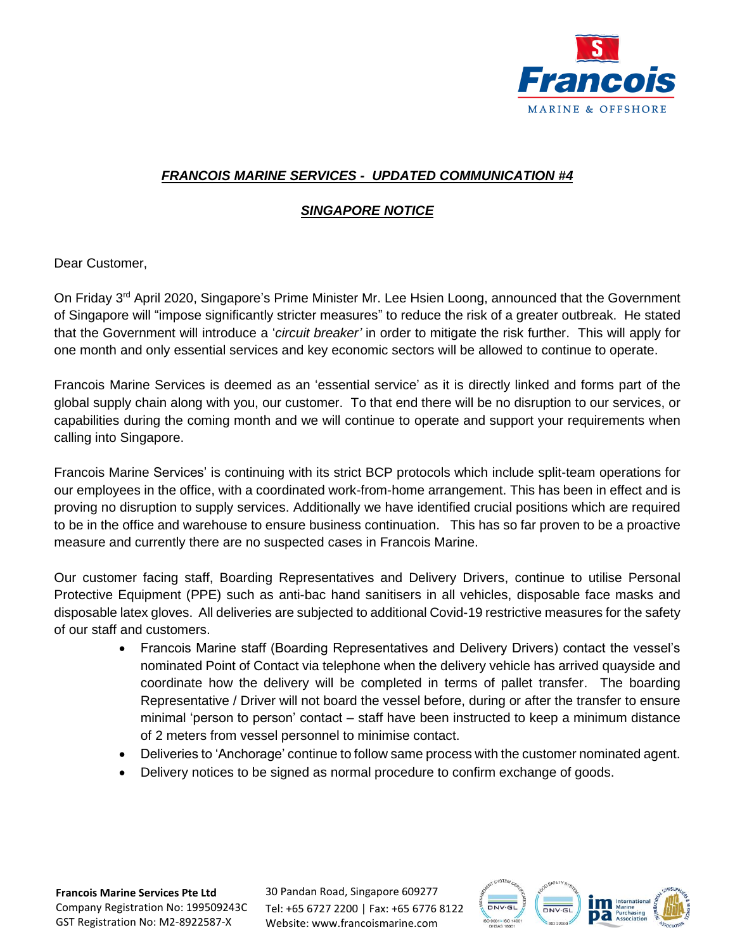

## *FRANCOIS MARINE SERVICES - UPDATED COMMUNICATION #4*

## *SINGAPORE NOTICE*

Dear Customer,

On Friday 3<sup>rd</sup> April 2020, Singapore's Prime Minister Mr. Lee Hsien Loong, announced that the Government of Singapore will "impose significantly stricter measures" to reduce the risk of a greater outbreak. He stated that the Government will introduce a '*circuit breaker'* in order to mitigate the risk further. This will apply for one month and only essential services and key economic sectors will be allowed to continue to operate.

Francois Marine Services is deemed as an 'essential service' as it is directly linked and forms part of the global supply chain along with you, our customer. To that end there will be no disruption to our services, or capabilities during the coming month and we will continue to operate and support your requirements when calling into Singapore.

Francois Marine Services' is continuing with its strict BCP protocols which include split-team operations for our employees in the office, with a coordinated work-from-home arrangement. This has been in effect and is proving no disruption to supply services. Additionally we have identified crucial positions which are required to be in the office and warehouse to ensure business continuation. This has so far proven to be a proactive measure and currently there are no suspected cases in Francois Marine.

Our customer facing staff, Boarding Representatives and Delivery Drivers, continue to utilise Personal Protective Equipment (PPE) such as anti-bac hand sanitisers in all vehicles, disposable face masks and disposable latex gloves. All deliveries are subjected to additional Covid-19 restrictive measures for the safety of our staff and customers.

- Francois Marine staff (Boarding Representatives and Delivery Drivers) contact the vessel's nominated Point of Contact via telephone when the delivery vehicle has arrived quayside and coordinate how the delivery will be completed in terms of pallet transfer. The boarding Representative / Driver will not board the vessel before, during or after the transfer to ensure minimal 'person to person' contact – staff have been instructed to keep a minimum distance of 2 meters from vessel personnel to minimise contact.
- Deliveries to 'Anchorage' continue to follow same process with the customer nominated agent.
- Delivery notices to be signed as normal procedure to confirm exchange of goods.

**Francois Marine Services Pte Ltd** Company Registration No: 199509243C GST Registration No: M2-8922587-X

30 Pandan Road, Singapore 609277 Tel: +65 6727 2200 | Fax: +65 6776 8122 Website: www.francoismarine.com